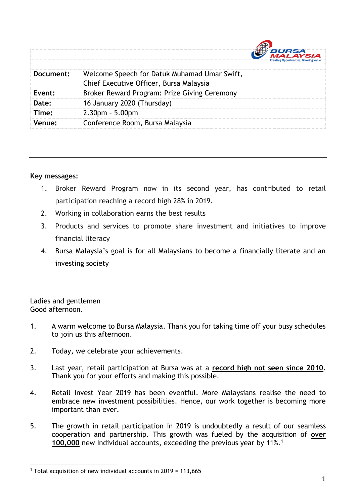|               | <i><b>BURSA</b></i><br>LAYSIA<br><b>Creating Opportunities, Growing Value</b>           |
|---------------|-----------------------------------------------------------------------------------------|
| Document:     | Welcome Speech for Datuk Muhamad Umar Swift,<br>Chief Executive Officer, Bursa Malaysia |
| Event:        | Broker Reward Program: Prize Giving Ceremony                                            |
| Date:         | 16 January 2020 (Thursday)                                                              |
| Time:         | $2.30pm - 5.00pm$                                                                       |
| <b>Venue:</b> | Conference Room, Bursa Malaysia                                                         |

## **Key messages:**

- 1. Broker Reward Program now in its second year, has contributed to retail participation reaching a record high 28% in 2019.
- 2. Working in collaboration earns the best results
- 3. Products and services to promote share investment and initiatives to improve financial literacy
- 4. Bursa Malaysia's goal is for all Malaysians to become a financially literate and an investing society

Ladies and gentlemen Good afternoon.

 $\overline{a}$ 

- 1. A warm welcome to Bursa Malaysia. Thank you for taking time off your busy schedules to join us this afternoon.
- 2. Today, we celebrate your achievements.
- 3. Last year, retail participation at Bursa was at a **record high not seen since 2010**. Thank you for your efforts and making this possible.
- 4. Retail Invest Year 2019 has been eventful. More Malaysians realise the need to embrace new investment possibilities. Hence, our work together is becoming more important than ever.
- 5. The growth in retail participation in 2019 is undoubtedly a result of our seamless cooperation and partnership. This growth was fueled by the acquisition of **over 100,000** new Individual accounts, exceeding the previous year by 11%. 1

<sup>&</sup>lt;sup>1</sup> Total acquisition of new individual accounts in 2019 = 113,665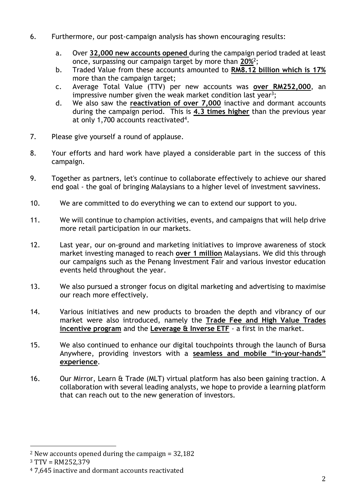- 6. Furthermore, our post-campaign analysis has shown encouraging results:
	- a. Over **32,000 new accounts opened** during the campaign period traded at least once, surpassing our campaign target by more than **20%**<sup>2</sup> ;
	- b. Traded Value from these accounts amounted to **RM8.12 billion which is 17%** more than the campaign target;
	- c. Average Total Value (TTV) per new accounts was **over RM252,000**, an impressive number given the weak market condition last year<sup>3</sup>;
	- d. We also saw the **reactivation of over 7,000** inactive and dormant accounts during the campaign period. This is **4.3 times higher** than the previous year at only 1,700 accounts reactivated<sup>4</sup>.
- 7. Please give yourself a round of applause.
- 8. Your efforts and hard work have played a considerable part in the success of this campaign.
- 9. Together as partners, let's continue to collaborate effectively to achieve our shared end goal - the goal of bringing Malaysians to a higher level of investment savviness.
- 10. We are committed to do everything we can to extend our support to you.
- 11. We will continue to champion activities, events, and campaigns that will help drive more retail participation in our markets.
- 12. Last year, our on-ground and marketing initiatives to improve awareness of stock market investing managed to reach **over 1 million** Malaysians. We did this through our campaigns such as the Penang Investment Fair and various investor education events held throughout the year.
- 13. We also pursued a stronger focus on digital marketing and advertising to maximise our reach more effectively.
- 14. Various initiatives and new products to broaden the depth and vibrancy of our market were also introduced, namely the **Trade Fee and High Value Trades incentive program** and the **Leverage & Inverse ETF** - a first in the market.
- 15. We also continued to enhance our digital touchpoints through the launch of Bursa Anywhere, providing investors with a **seamless and mobile "in-your-hands" experience**.
- 16. Our Mirror, Learn & Trade (MLT) virtual platform has also been gaining traction. A collaboration with several leading analysts, we hope to provide a learning platform that can reach out to the new generation of investors.

 $\overline{a}$ 

<sup>&</sup>lt;sup>2</sup> New accounts opened during the campaign =  $32,182$ 

<sup>3</sup> TTV = RM252,379

<sup>4</sup> 7,645 inactive and dormant accounts reactivated